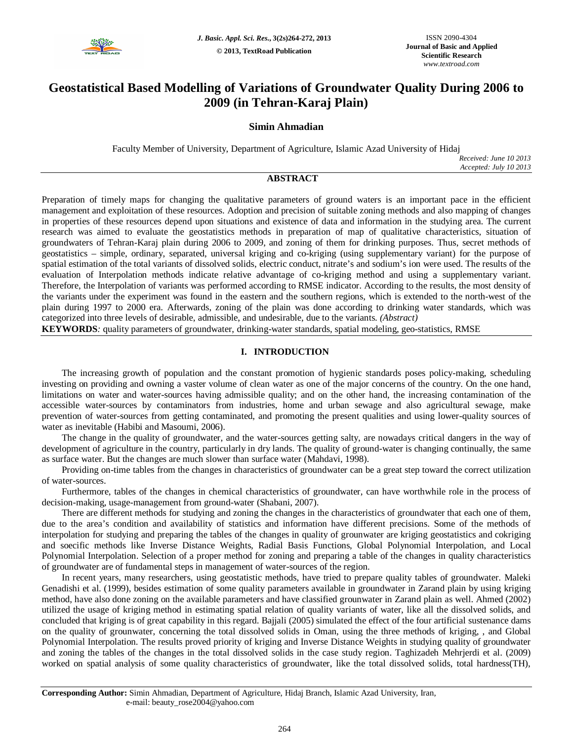

# **Geostatistical Based Modelling of Variations of Groundwater Quality During 2006 to 2009 (in Tehran-Karaj Plain)**

# **Simin Ahmadian**

Faculty Member of University, Department of Agriculture, Islamic Azad University of Hidaj

*Received: June 10 2013 Accepted: July 10 2013*

# **ABSTRACT**

Preparation of timely maps for changing the qualitative parameters of ground waters is an important pace in the efficient management and exploitation of these resources. Adoption and precision of suitable zoning methods and also mapping of changes in properties of these resources depend upon situations and existence of data and information in the studying area. The current research was aimed to evaluate the geostatistics methods in preparation of map of qualitative characteristics, situation of groundwaters of Tehran-Karaj plain during 2006 to 2009, and zoning of them for drinking purposes. Thus, secret methods of geostatistics – simple, ordinary, separated, universal kriging and co-kriging (using supplementary variant) for the purpose of spatial estimation of the total variants of dissolved solids, electric conduct, nitrate's and sodium's ion were used. The results of the evaluation of Interpolation methods indicate relative advantage of co-kriging method and using a supplementary variant. Therefore, the Interpolation of variants was performed according to RMSE indicator. According to the results, the most density of the variants under the experiment was found in the eastern and the southern regions, which is extended to the north-west of the plain during 1997 to 2000 era. Afterwards, zoning of the plain was done according to drinking water standards, which was categorized into three levels of desirable, admissible, and undesirable, due to the variants. *(Abstract)*

**KEYWORDS***:* quality parameters of groundwater, drinking-water standards, spatial modeling, geo-statistics, RMSE

# **I. INTRODUCTION**

The increasing growth of population and the constant promotion of hygienic standards poses policy-making, scheduling investing on providing and owning a vaster volume of clean water as one of the major concerns of the country. On the one hand, limitations on water and water-sources having admissible quality; and on the other hand, the increasing contamination of the accessible water-sources by contaminators from industries, home and urban sewage and also agricultural sewage, make prevention of water-sources from getting contaminated, and promoting the present qualities and using lower-quality sources of water as inevitable (Habibi and Masoumi, 2006).

The change in the quality of groundwater, and the water-sources getting salty, are nowadays critical dangers in the way of development of agriculture in the country, particularly in dry lands. The quality of ground-water is changing continually, the same as surface water. But the changes are much slower than surface water (Mahdavi, 1998).

Providing on-time tables from the changes in characteristics of groundwater can be a great step toward the correct utilization of water-sources.

Furthermore, tables of the changes in chemical characteristics of groundwater, can have worthwhile role in the process of decision-making, usage-management from ground-water (Shabani, 2007).

There are different methods for studying and zoning the changes in the characteristics of groundwater that each one of them, due to the area's condition and availability of statistics and information have different precisions. Some of the methods of interpolation for studying and preparing the tables of the changes in quality of grounwater are kriging geostatistics and cokriging and soecific methods like Inverse Distance Weights, Radial Basis Functions, Global Polynomial Interpolation, and Local Polynomial Interpolation. Selection of a proper method for zoning and preparing a table of the changes in quality characteristics of groundwater are of fundamental steps in management of water-sources of the region.

In recent years, many researchers, using geostatistic methods, have tried to prepare quality tables of groundwater. Maleki Genadishi et al. (1999), besides estimation of some quality parameters available in groundwater in Zarand plain by using kriging method, have also done zoning on the available parameters and have classified grounwater in Zarand plain as well. Ahmed (2002) utilized the usage of kriging method in estimating spatial relation of quality variants of water, like all the dissolved solids, and concluded that kriging is of great capability in this regard. Bajjali (2005) simulated the effect of the four artificial sustenance dams on the quality of grounwater, concerning the total dissolved solids in Oman, using the three methods of kriging, , and Global Polynomial Interpolation. The results proved priority of kriging and Inverse Distance Weights in studying quality of groundwater and zoning the tables of the changes in the total dissolved solids in the case study region. Taghizadeh Mehrjerdi et al. (2009) worked on spatial analysis of some quality characteristics of groundwater, like the total dissolved solids, total hardness(TH),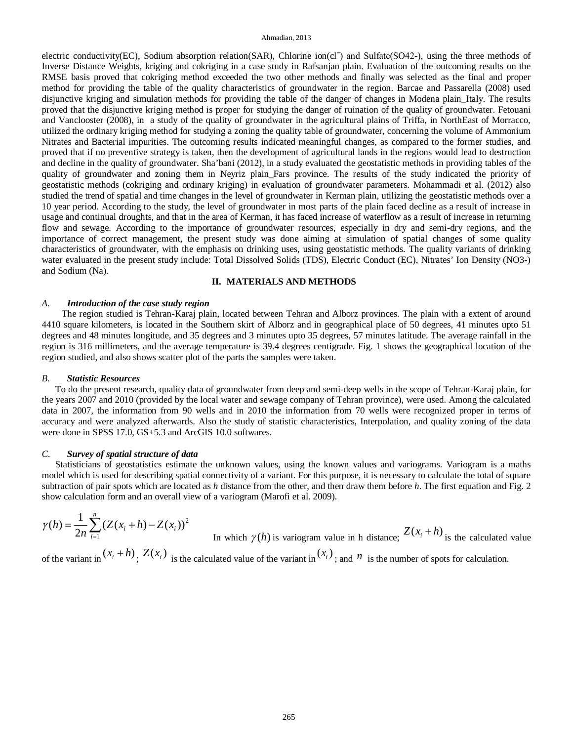#### Ahmadian, 2013

electric conductivity(EC), Sodium absorption relation(SAR), Chlorine ion(cl<sup>-</sup>) and Sulfate(SO42-), using the three methods of Inverse Distance Weights, kriging and cokriging in a case study in Rafsanjan plain. Evaluation of the outcoming results on the RMSE basis proved that cokriging method exceeded the two other methods and finally was selected as the final and proper method for providing the table of the quality characteristics of groundwater in the region. Barcae and Passarella (2008) used disjunctive kriging and simulation methods for providing the table of the danger of changes in Modena plain\_Italy. The results proved that the disjunctive kriging method is proper for studying the danger of ruination of the quality of groundwater. Fetouani and Vanclooster (2008), in a study of the quality of groundwater in the agricultural plains of Triffa, in NorthEast of Morracco, utilized the ordinary kriging method for studying a zoning the quality table of groundwater, concerning the volume of Ammonium Nitrates and Bacterial impurities. The outcoming results indicated meaningful changes, as compared to the former studies, and proved that if no preventive strategy is taken, then the development of agricultural lands in the regions would lead to destruction and decline in the quality of groundwater. Sha'bani (2012), in a study evaluated the geostatistic methods in providing tables of the quality of groundwater and zoning them in Neyriz plain\_Fars province. The results of the study indicated the priority of geostatistic methods (cokriging and ordinary kriging) in evaluation of groundwater parameters. Mohammadi et al. (2012) also studied the trend of spatial and time changes in the level of groundwater in Kerman plain, utilizing the geostatistic methods over a 10 year period. According to the study, the level of groundwater in most parts of the plain faced decline as a result of increase in usage and continual droughts, and that in the area of Kerman, it has faced increase of waterflow as a result of increase in returning flow and sewage. According to the importance of groundwater resources, especially in dry and semi-dry regions, and the importance of correct management, the present study was done aiming at simulation of spatial changes of some quality characteristics of groundwater, with the emphasis on drinking uses, using geostatistic methods. The quality variants of drinking water evaluated in the present study include: Total Dissolved Solids (TDS), Electric Conduct (EC), Nitrates' Ion Density (NO3-) and Sodium (Na).

### **II. MATERIALS AND METHODS**

#### *A. Introduction of the case study region*

The region studied is Tehran-Karaj plain, located between Tehran and Alborz provinces. The plain with a extent of around 4410 square kilometers, is located in the Southern skirt of Alborz and in geographical place of 50 degrees, 41 minutes upto 51 degrees and 48 minutes longitude, and 35 degrees and 3 minutes upto 35 degrees, 57 minutes latitude. The average rainfall in the region is 316 millimeters, and the average temperature is 39.4 degrees centigrade. Fig. 1 shows the geographical location of the region studied, and also shows scatter plot of the parts the samples were taken.

#### *B. Statistic Resources*

To do the present research, quality data of groundwater from deep and semi-deep wells in the scope of Tehran-Karaj plain, for the years 2007 and 2010 (provided by the local water and sewage company of Tehran province), were used. Among the calculated data in 2007, the information from 90 wells and in 2010 the information from 70 wells were recognized proper in terms of accuracy and were analyzed afterwards. Also the study of statistic characteristics, Interpolation, and quality zoning of the data were done in SPSS 17.0, GS+5.3 and ArcGIS 10.0 softwares.

### *C. Survey of spatial structure of data*

Statisticians of geostatistics estimate the unknown values, using the known values and variograms. Variogram is a maths model which is used for describing spatial connectivity of a variant. For this purpose, it is necessary to calculate the total of square subtraction of pair spots which are located as *h* distance from the other, and then draw them before *h*. The first equation and Fig. 2 show calculation form and an overall view of a variogram (Marofi et al. 2009).

$$
\gamma(h) = \frac{1}{2n} \sum_{i=1}^{n} (Z(x_i + h) - Z(x_i))^2
$$
  
In which  $\gamma(h)$  is various  
param value in h distance;  $Z(x_i + h)$  is the calculated value

of the variant in  $(x_i + h)$ ,  $Z(x_i)$  is the calculated value of the variant in  $(x_i)$ ; and  $n$  is the number of spots for calculation.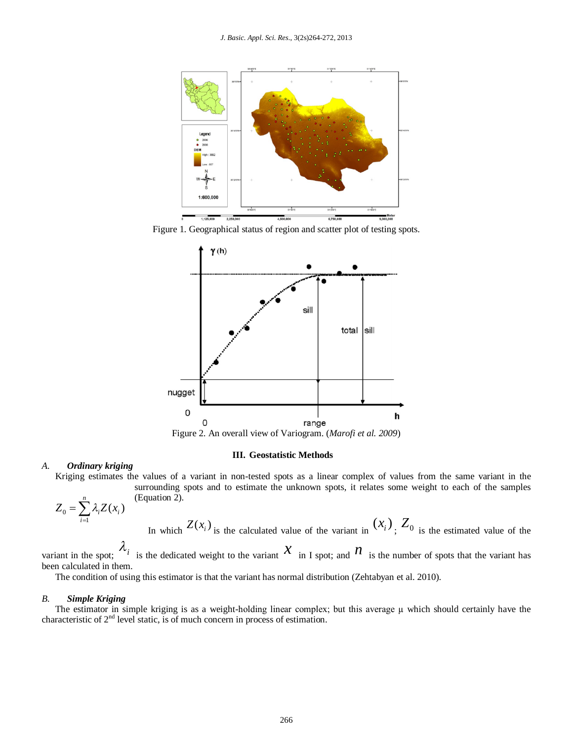

Figure 1. Geographical status of region and scatter plot of testing spots.



Figure 2. An overall view of Variogram. (*Marofi et al. 2009*)

## **III. Geostatistic Methods**

# *A. Ordinary kriging*

Kriging estimates the values of a variant in non-tested spots as a linear complex of values from the same variant in the surrounding spots and to estimate the unknown spots, it relates some weight to each of the samples

$$
Z_0 = \sum_{i=1}^n \lambda_i Z(x_i)
$$

(Equation 2).

In which 
$$
Z(x_i)
$$
 is the calculated value of the variant in  $(x_i)$ ,  $Z_0$  is the estimated value of the

variant in the spot;  $\lambda_i$  is the dedicated weight to the variant  $x$  in I spot; and  $n$  is the number of spots that the variant has been calculated in them.

The condition of using this estimator is that the variant has normal distribution (Zehtabyan et al. 2010).

# *B. Simple Kriging*

The estimator in simple kriging is as a weight-holding linear complex; but this average  $\mu$  which should certainly have the characteristic of  $2<sup>nd</sup>$  level static, is of much concern in process of estimation.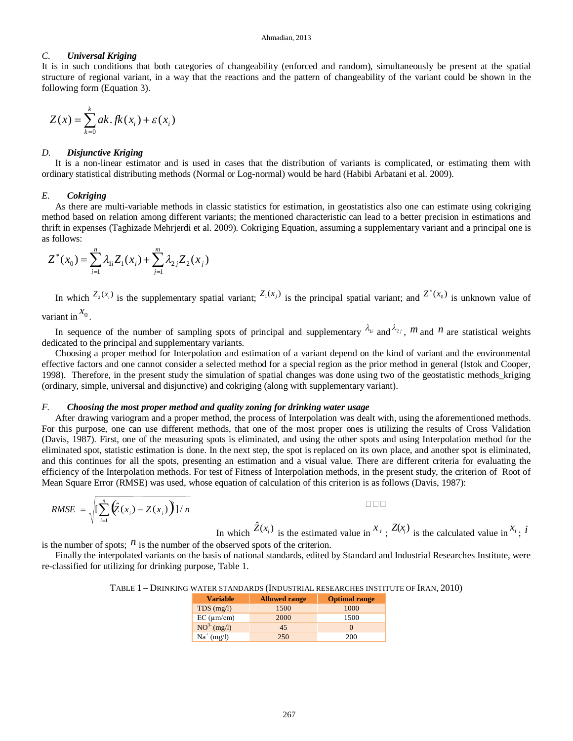### *C. Universal Kriging*

It is in such conditions that both categories of changeability (enforced and random), simultaneously be present at the spatial structure of regional variant, in a way that the reactions and the pattern of changeability of the variant could be shown in the following form (Equation 3).

$$
Z(x) = \sum_{k=0}^{k} ak \cdot f k(x_i) + \varepsilon(x_i)
$$

#### *D. Disjunctive Kriging*

It is a non-linear estimator and is used in cases that the distribution of variants is complicated, or estimating them with ordinary statistical distributing methods (Normal or Log-normal) would be hard (Habibi Arbatani et al. 2009).

#### *E. Cokriging*

As there are multi-variable methods in classic statistics for estimation, in geostatistics also one can estimate using cokriging method based on relation among different variants; the mentioned characteristic can lead to a better precision in estimations and thrift in expenses (Taghizade Mehrjerdi et al. 2009). Cokriging Equation, assuming a supplementary variant and a principal one is as follows:

$$
Z^*(x_0) = \sum_{i=1}^n \lambda_{1i} Z_1(x_i) + \sum_{j=1}^m \lambda_{2j} Z_2(x_j)
$$

In which  $Z_2(x_i)$  is the supplementary spatial variant;  $Z_1(x_j)$  is the principal spatial variant; and  $Z^*(x_0)$  is unknown value of variant in  $\begin{bmatrix} x_0 \\ x_0 \end{bmatrix}$ .

In sequence of the number of sampling spots of principal and supplementary  $\lambda_{ij}$  and  $\lambda_{2j}$ ,  $m$  and  $n$  are statistical weights dedicated to the principal and supplementary variants.

Choosing a proper method for Interpolation and estimation of a variant depend on the kind of variant and the environmental effective factors and one cannot consider a selected method for a special region as the prior method in general (Istok and Cooper, 1998). Therefore, in the present study the simulation of spatial changes was done using two of the geostatistic methods\_kriging (ordinary, simple, universal and disjunctive) and cokriging (along with supplementary variant).

### *F. Choosing the most proper method and quality zoning for drinking water usage*

After drawing variogram and a proper method, the process of Interpolation was dealt with, using the aforementioned methods. For this purpose, one can use different methods, that one of the most proper ones is utilizing the results of Cross Validation (Davis, 1987). First, one of the measuring spots is eliminated, and using the other spots and using Interpolation method for the eliminated spot, statistic estimation is done. In the next step, the spot is replaced on its own place, and another spot is eliminated, and this continues for all the spots, presenting an estimation and a visual value. There are different criteria for evaluating the efficiency of the Interpolation methods. For test of Fitness of Interpolation methods, in the present study, the criterion of Root of Mean Square Error (RMSE) was used, whose equation of calculation of this criterion is as follows (Davis, 1987):

$$
RMSE = \sqrt{\left[\sum_{i=1}^{n} \left(\hat{Z}(x_i) - Z(x_i)\right)\right] / n}
$$

In which  $\hat{Z}(x_i)$  is the estimated value in  $x_i$ ;  $Z(x_i)$  is the calculated value in  $x_i$ ; *i* 

is the number of spots;  $\hat{n}$  is the number of the observed spots of the criterion.

Finally the interpolated variants on the basis of national standards, edited by Standard and Industrial Researches Institute, were re-classified for utilizing for drinking purpose, Table 1.

| TABLE 1 – DRINKING WATER STANDARDS (INDUSTRIAL RESEARCHES INSTITUTE OF IRAN, 2010) |  |  |  |
|------------------------------------------------------------------------------------|--|--|--|
|------------------------------------------------------------------------------------|--|--|--|

| <b>Variable</b>    | <b>Allowed range</b> | <b>Optimal range</b> |
|--------------------|----------------------|----------------------|
| $TDS$ (mg/l)       | 1500                 | 1000                 |
| $EC$ ( $\mu$ m/cm) | 2000                 | 1500                 |
| $NO3- (mg/l)$      | 45                   |                      |
| $Na^+(mg/l)$       | 250                  | <b>200</b>           |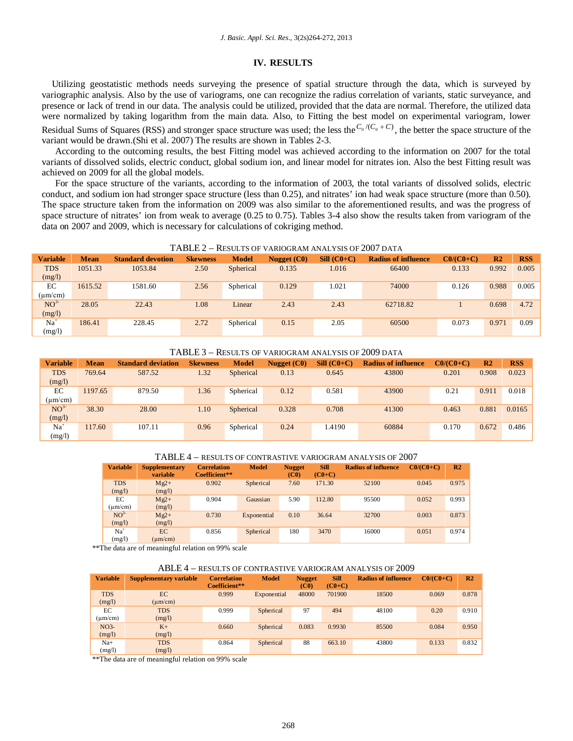### **IV. RESULTS**

Utilizing geostatistic methods needs surveying the presence of spatial structure through the data, which is surveyed by variographic analysis. Also by the use of variograms, one can recognize the radius correlation of variants, static surveyance, and presence or lack of trend in our data. The analysis could be utilized, provided that the data are normal. Therefore, the utilized data were normalized by taking logarithm from the main data. Also, to Fitting the best model on experimental variogram, lower Residual Sums of Squares (RSS) and stronger space structure was used; the less the  $C_0 / (C_0 + C)$ , the better the space structure of the variant would be drawn.(Shi et al. 2007) The results are shown in Tables 2-3.

According to the outcoming results, the best Fitting model was achieved according to the information on 2007 for the total variants of dissolved solids, electric conduct, global sodium ion, and linear model for nitrates ion. Also the best Fitting result was achieved on 2009 for all the global models.

For the space structure of the variants, according to the information of 2003, the total variants of dissolved solids, electric conduct, and sodium ion had stronger space structure (less than 0.25), and nitrates' ion had weak space structure (more than 0.50). The space structure taken from the information on 2009 was also similar to the aforementioned results, and was the progress of space structure of nitrates' ion from weak to average (0.25 to 0.75). Tables 3-4 also show the results taken from variogram of the data on 2007 and 2009, which is necessary for calculations of cokriging method.

|  | TABLE 2 – RESULTS OF VARIOGRAM ANALYSIS OF 2007 DATA |  |
|--|------------------------------------------------------|--|
|--|------------------------------------------------------|--|

| <b>Variable</b> | <b>Mean</b> | <b>Standard devotion</b> | <b>Skewness</b> | <b>Model</b> | Nugget (C0) | $SiII (CO+C)$ | <b>Radius of influence</b> | $CO/(CO+C)$ | R <sub>2</sub> | <b>RSS</b> |
|-----------------|-------------|--------------------------|-----------------|--------------|-------------|---------------|----------------------------|-------------|----------------|------------|
| <b>TDS</b>      | 1051.33     | 1053.84                  | 2.50            | Spherical    | 0.135       | 1.016         | 66400                      | 0.133       | 0.992          | 0.005      |
| (mg/l)          |             |                          |                 |              |             |               |                            |             |                |            |
| EC              | 1615.52     | 1581.60                  | 2.56            | Spherical    | 0.129       | 1.021         | 74000                      | 0.126       | 0.988          | 0.005      |
| $(\mu m/cm)$    |             |                          |                 |              |             |               |                            |             |                |            |
| NO <sup>3</sup> | 28.05       | 22.43                    | 1.08            | Linear       | 2.43        | 2.43          | 62718.82                   |             | 0.698          | 4.72       |
| (mg/l)          |             |                          |                 |              |             |               |                            |             |                |            |
| $Na+$           | 186.41      | 228.45                   | 2.72            | Spherical    | 0.15        | 2.05          | 60500                      | 0.073       | 0.971          | 0.09       |
| (mg/l)          |             |                          |                 |              |             |               |                            |             |                |            |

#### TABLE 3 – RESULTS OF VARIOGRAM ANALYSIS OF 2009 DATA

| <b>Variable</b> | <b>Mean</b> | <b>Standard deviation</b> | <b>Skewness</b> | <b>Model</b> | Nugget $(C0)$ | $SiII (CO+C)$ | <b>Radius of influence</b> | $CO/(CO+C)$ | R <sub>2</sub> | <b>RSS</b> |
|-----------------|-------------|---------------------------|-----------------|--------------|---------------|---------------|----------------------------|-------------|----------------|------------|
| <b>TDS</b>      | 769.64      | 587.52                    | 1.32            | Spherical    | 0.13          | 0.645         | 43800                      | 0.201       | 0.908          | 0.023      |
| (mg/l)          |             |                           |                 |              |               |               |                            |             |                |            |
| EC              | 1197.65     | 879.50                    | 1.36            | Spherical    | 0.12          | 0.581         | 43900                      | 0.21        | 0.911          | 0.018      |
| $(\mu m/cm)$    |             |                           |                 |              |               |               |                            |             |                |            |
| NO <sup>3</sup> | 38.30       | 28.00                     | 1.10            | Spherical    | 0.328         | 0.708         | 41300                      | 0.463       | 0.881          | 0.0165     |
| (mg/l)          |             |                           |                 |              |               |               |                            |             |                |            |
| $Na+$           | 117.60      | 107.11                    | 0.96            | Spherical    | 0.24          | 1.4190        | 60884                      | 0.170       | 0.672          | 0.486      |
| (mg/l)          |             |                           |                 |              |               |               |                            |             |                |            |

|                      |                                  |                                     |              |                                    |                         | $1$ ADLE $4$ = RESULTS OF CONTRASTIVE VARIOURAM ANALTSIS OF 2007 |              |                |
|----------------------|----------------------------------|-------------------------------------|--------------|------------------------------------|-------------------------|------------------------------------------------------------------|--------------|----------------|
| <b>Variable</b>      | <b>Supplementary</b><br>variable | <b>Correlation</b><br>Coefficient** | <b>Model</b> | <b>Nugget</b><br>(C <sub>0</sub> ) | <b>Sill</b><br>$(C0+C)$ | <b>Radius of influence</b>                                       | $CO/(CO+CO)$ | R <sub>2</sub> |
| <b>TDS</b><br>(mg/l) | $Mg2+$<br>(mg/l)                 | 0.902                               | Spherical    | 7.60                               | 171.30                  | 52100                                                            | 0.045        | 0.975          |
| EС<br>$(\mu m/cm)$   | $Mg2+$<br>(mg/l)                 | 0.904                               | Gaussian     | 5.90                               | 112.80                  | 95500                                                            | 0.052        | 0.993          |
| $NO^{3}$<br>(mg/l)   | $Mg2+$<br>(mg/l)                 | 0.730                               | Exponential  | 0.10                               | 36.64                   | 32700                                                            | 0.003        | 0.873          |
| $Na+$<br>(mg/l)      | EC.<br>$(\text{um/cm})$          | 0.856                               | Spherical    | 180                                | 3470                    | 16000                                                            | 0.051        | 0.974          |

### TABLE 4 – RESULTS OF CONTRASTIVE VARIOGRAM ANALYSIS OF 2007

\*\*The data are of meaningful relation on 99% scale

#### ABLE 4 – RESULTS OF CONTRASTIVE VARIOGRAM ANALYSIS OF 2009

| <b>Variable</b>           | <b>Supplementary variable</b> | <b>Correlation</b><br>Coefficient** | <b>Model</b> | <b>Nugget</b><br>(C <sub>0</sub> ) | <b>Sill</b><br>$(C0+C)$ | <b>Radius of influence</b> | $C0/(C0+C)$ | R <sub>2</sub> |
|---------------------------|-------------------------------|-------------------------------------|--------------|------------------------------------|-------------------------|----------------------------|-------------|----------------|
| <b>TDS</b><br>(mg/l)      | EC<br>$(\mu m/cm)$            | 0.999                               | Exponential  | 48000                              | 701900                  | 18500                      | 0.069       | 0.878          |
| EC<br>$(\mu m/cm)$        | <b>TDS</b><br>(mg/l)          | 0.999                               | Spherical    | 97                                 | 494                     | 48100                      | 0.20        | 0.910          |
| NO <sub>3</sub><br>(mg/l) | $K+$<br>(mg/l)                | 0.660                               | Spherical    | 0.083                              | 0.9930                  | 85500                      | 0.084       | 0.950          |
| $Na+$<br>(mg/l)           | <b>TDS</b><br>(mg/l)          | 0.864                               | Spherical    | 88                                 | 663.10                  | 43800                      | 0.133       | 0.832          |

\*\*The data are of meaningful relation on 99% scale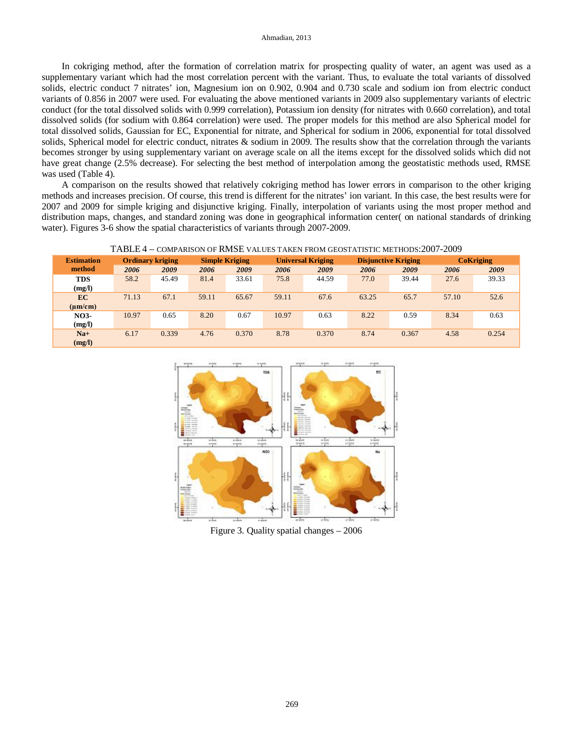#### Ahmadian, 2013

In cokriging method, after the formation of correlation matrix for prospecting quality of water, an agent was used as a supplementary variant which had the most correlation percent with the variant. Thus, to evaluate the total variants of dissolved solids, electric conduct 7 nitrates' ion, Magnesium ion on 0.902, 0.904 and 0.730 scale and sodium ion from electric conduct variants of 0.856 in 2007 were used. For evaluating the above mentioned variants in 2009 also supplementary variants of electric conduct (for the total dissolved solids with 0.999 correlation), Potassium ion density (for nitrates with 0.660 correlation), and total dissolved solids (for sodium with 0.864 correlation) were used. The proper models for this method are also Spherical model for total dissolved solids, Gaussian for EC, Exponential for nitrate, and Spherical for sodium in 2006, exponential for total dissolved solids, Spherical model for electric conduct, nitrates & sodium in 2009. The results show that the correlation through the variants becomes stronger by using supplementary variant on average scale on all the items except for the dissolved solids which did not have great change (2.5% decrease). For selecting the best method of interpolation among the geostatistic methods used, RMSE was used (Table 4).

A comparison on the results showed that relatively cokriging method has lower errors in comparison to the other kriging methods and increases precision. Of course, this trend is different for the nitrates' ion variant. In this case, the best results were for 2007 and 2009 for simple kriging and disjunctive kriging. Finally, interpolation of variants using the most proper method and distribution maps, changes, and standard zoning was done in geographical information center( on national standards of drinking water). Figures 3-6 show the spatial characteristics of variants through 2007-2009.

TABLE 4 – COMPARISON OF RMSE VALUES TAKEN FROM GEOSTATISTIC METHODS:2007-2009

| <b>Estimation</b> | <b>Ordinary kriging</b> |       | <b>Simple Kriging</b> |       | <b>Universal Kriging</b> |       | <b>Disjunctive Kriging</b> |       | <b>CoKriging</b> |       |
|-------------------|-------------------------|-------|-----------------------|-------|--------------------------|-------|----------------------------|-------|------------------|-------|
| method            | 2006                    | 2009  | 2006                  | 2009  | 2006                     | 2009  | 2006                       | 2009  | 2006             | 2009  |
| <b>TDS</b>        | 58.2                    | 45.49 | 81.4                  | 33.61 | 75.8                     | 44.59 | 77.0                       | 39.44 | 27.6             | 39.33 |
| (mg/l)            |                         |       |                       |       |                          |       |                            |       |                  |       |
| <b>EC</b>         | 71.13                   | 67.1  | 59.11                 | 65.67 | 59.11                    | 67.6  | 63.25                      | 65.7  | 57.10            | 52.6  |
| $(\mu m/cm)$      |                         |       |                       |       |                          |       |                            |       |                  |       |
| <b>NO3-</b>       | 10.97                   | 0.65  | 8.20                  | 0.67  | 10.97                    | 0.63  | 8.22                       | 0.59  | 8.34             | 0.63  |
| (mg/l)            |                         |       |                       |       |                          |       |                            |       |                  |       |
| $Na+$             | 6.17                    | 0.339 | 4.76                  | 0.370 | 8.78                     | 0.370 | 8.74                       | 0.367 | 4.58             | 0.254 |
| (mg/l)            |                         |       |                       |       |                          |       |                            |       |                  |       |



Figure 3. Quality spatial changes – 2006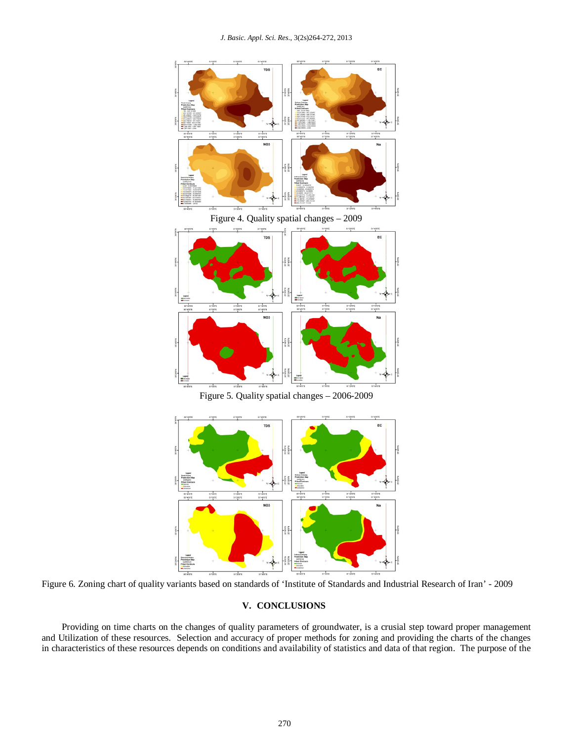*J. Basic. Appl. Sci. Res.*, 3(2s)264-272, 2013



Figure 5. Quality spatial changes – 2006-2009



Figure 6. Zoning chart of quality variants based on standards of 'Institute of Standards and Industrial Research of Iran' - 2009

## **V. CONCLUSIONS**

Providing on time charts on the changes of quality parameters of groundwater, is a crusial step toward proper management and Utilization of these resources. Selection and accuracy of proper methods for zoning and providing the charts of the changes in characteristics of these resources depends on conditions and availability of statistics and data of that region. The purpose of the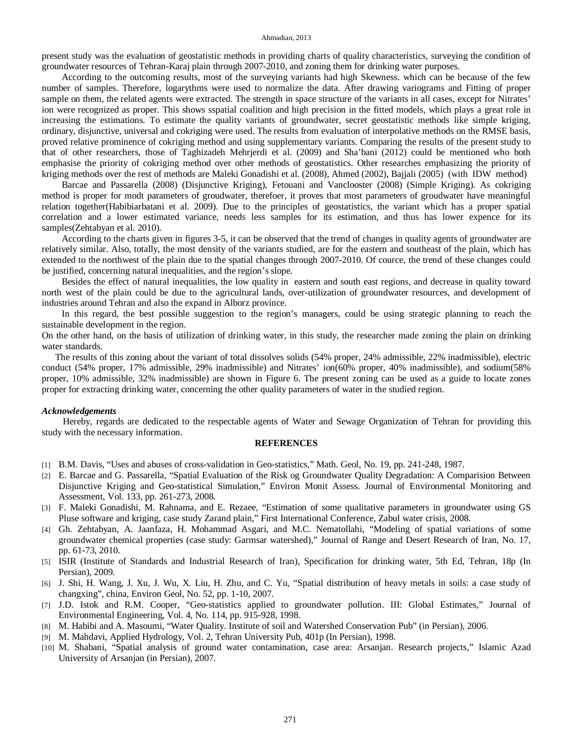#### Ahmadian, 2013

present study was the evaluation of geostatistic methods in providing charts of quality characteristics, surveying the condition of groundwater resources of Tehran-Karaj plain through 2007-2010, and zoning them for drinking water purposes.

According to the outcoming results, most of the surveying variants had high Skewness. which can be because of the few number of samples. Therefore, logarythms were used to normalize the data. After drawing variograms and Fitting of proper sample on them, the related agents were extracted. The strength in space structure of the variants in all cases, except for Nitrates' ion were recognized as proper. This shows sspatial coalition and high precision in the fitted models, which plays a great role in increasing the estimations. To estimate the quality variants of groundwater, secret geostatistic methods like simple kriging, ordinary, disjunctive, universal and cokriging were used. The results from evaluation of interpolative methods on the RMSE basis, proved relative prominence of cokriging method and using supplementary variants. Comparing the results of the present study to that of other researchers, those of Taghizadeh Mehrjerdi et al. (2009) and Sha'bani (2012) could be mentioned who both emphasise the priority of cokriging method over other methods of geostatistics. Other researches emphasizing the priority of kriging methods over the rest of methods are Maleki Gonadishi et al. (2008), Ahmed (2002), Bajjali (2005) (with IDW method)

Barcae and Passarella (2008) (Disjunctive Kriging), Fetouani and Vanclooster (2008) (Simple Kriging). As cokriging method is proper for modt parameters of groudwater, therefoer, it proves that most parameters of groudwater have meaningful relation together(Habibiarbatani et al. 2009). Due to the principles of geostatistics, the variant which has a proper spatial correlation and a lower estimated variance, needs less samples for its estimation, and thus has lower expence for its samples(Zehtabyan et al. 2010).

According to the charts given in figures 3-5, it can be observed that the trend of changes in quality agents of groundwater are relatively similar. Also, totally, the most density of the variants studied, are for the eastern and southeast of the plain, which has extended to the northwest of the plain due to the spatial changes through 2007-2010. Of cource, the trend of these changes could be justified, concerning natural inequalities, and the region's slope.

Besides the effect of natural inequalities, the low quality in eastern and south east regions, and decrease in quality toward north west of the plain could be due to the agricultural lands, over-utilization of groundwater resources, and development of industries around Tehran and also the expand in Alborz province.

In this regard, the best possible suggestion to the region's managers, could be using strategic planning to reach the sustainable development in the region.

On the other hand, on the basis of utilization of drinking water, in this study, the researcher made zoning the plain on drinking water standards.

The results of this zoning about the variant of total dissolves solids (54% proper, 24% admissible, 22% inadmissible), electric conduct (54% proper, 17% admissible, 29% inadmissible) and Nitrates' ion(60% proper, 40% inadmissible), and sodium(58% proper, 10% admissible, 32% inadmissible) are shown in Figure 6. The present zoning can be used as a guide to locate zones proper for extracting drinking water, concerning the other quality parameters of water in the studied region.

### *Acknowledgements*

Hereby, regards are dedicated to the respectable agents of Water and Sewage Organization of Tehran for providing this study with the necessary information.

### **REFERENCES**

- [1] B.M. Davis, "Uses and abuses of cross-validation in Geo-statistics," Math. Geol, No. 19, pp. 241-248, 1987.
- [2] E. Barcae and G. Passarella, "Spatial Evaluation of the Risk og Groundwater Quality Degradation: A Comparision Between Disjunctive Kriging and Geo-statistical Simulation," Environ Monit Assess. Journal of Environmental Monitoring and Assessment, Vol. 133, pp. 261-273, 2008.
- [3] F. Maleki Gonadishi, M. Rahnama, and E. Rezaee, "Estimation of some qualitative parameters in groundwater using GS Pluse software and kriging, case study Zarand plain," First International Conference, Zabul water crisis, 2008.
- [4] Gh. Zehtabyan, A. Jaanfaza, H. Mohammad Asgari, and M.C. Nematollahi, "Modeling of spatial variations of some groundwater chemical properties (case study: Garmsar watershed)," Journal of Range and Desert Research of Iran, No. 17, pp. 61-73, 2010.
- [5] ISIR (Institute of Standards and Industrial Research of Iran), Specification for drinking water, 5th Ed, Tehran, 18p (In Persian), 2009.
- [6] J. Shi, H. Wang, J. Xu, J. Wu, X. Liu, H. Zhu, and C. Yu, "Spatial distribution of heavy metals in soils: a case study of changxing", china, Environ Geol, No. 52, pp. 1-10, 2007.
- [7] J.D. Istok and R.M. Cooper, "Geo-statistics applied to groundwater pollution. III: Global Estimates," Journal of Environmental Engineering, Vol. 4, No. 114, pp. 915-928, 1998.
- [8] M. Habibi and A. Masoumi, "Water Quality. Institute of soil and Watershed Conservation Pub" (in Persian), 2006.
- [9] M. Mahdavi, Applied Hydrology, Vol. 2, Tehran University Pub, 401p (In Persian), 1998.
- [10] M. Shabani, "Spatial analysis of ground water contamination, case area: Arsanjan. Research projects," Islamic Azad University of Arsanjan (in Persian), 2007.